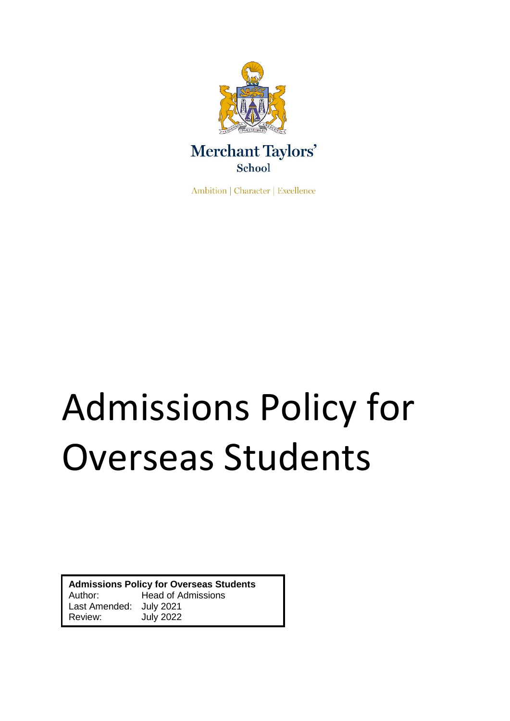

Ambition | Character | Excellence

# Admissions Policy for Overseas Students

**Admissions Policy for Overseas Students** Author: Head of Admissions Last Amended: July 2021 **July 2022**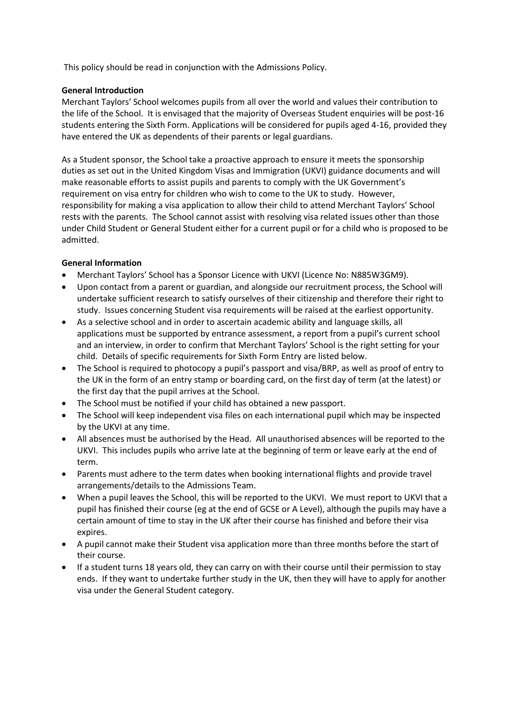This policy should be read in conjunction with the Admissions Policy.

# **General Introduction**

Merchant Taylors' School welcomes pupils from all over the world and values their contribution to the life of the School. It is envisaged that the majority of Overseas Student enquiries will be post-16 students entering the Sixth Form. Applications will be considered for pupils aged 4-16, provided they have entered the UK as dependents of their parents or legal guardians.

As a Student sponsor, the School take a proactive approach to ensure it meets the sponsorship duties as set out in the United Kingdom Visas and Immigration (UKVI) guidance documents and will make reasonable efforts to assist pupils and parents to comply with the UK Government's requirement on visa entry for children who wish to come to the UK to study. However, responsibility for making a visa application to allow their child to attend Merchant Taylors' School rests with the parents. The School cannot assist with resolving visa related issues other than those under Child Student or General Student either for a current pupil or for a child who is proposed to be admitted.

# **General Information**

- Merchant Taylors' School has a Sponsor Licence with UKVI (Licence No: N885W3GM9).
- Upon contact from a parent or guardian, and alongside our recruitment process, the School will undertake sufficient research to satisfy ourselves of their citizenship and therefore their right to study. Issues concerning Student visa requirements will be raised at the earliest opportunity.
- As a selective school and in order to ascertain academic ability and language skills, all applications must be supported by entrance assessment, a report from a pupil's current school and an interview, in order to confirm that Merchant Taylors' School is the right setting for your child. Details of specific requirements for Sixth Form Entry are listed below.
- The School is required to photocopy a pupil's passport and visa/BRP, as well as proof of entry to the UK in the form of an entry stamp or boarding card, on the first day of term (at the latest) or the first day that the pupil arrives at the School.
- The School must be notified if your child has obtained a new passport.
- The School will keep independent visa files on each international pupil which may be inspected by the UKVI at any time.
- All absences must be authorised by the Head. All unauthorised absences will be reported to the UKVI. This includes pupils who arrive late at the beginning of term or leave early at the end of term.
- Parents must adhere to the term dates when booking international flights and provide travel arrangements/details to the Admissions Team.
- When a pupil leaves the School, this will be reported to the UKVI. We must report to UKVI that a pupil has finished their course (eg at the end of GCSE or A Level), although the pupils may have a certain amount of time to stay in the UK after their course has finished and before their visa expires.
- A pupil cannot make their Student visa application more than three months before the start of their course.
- If a student turns 18 years old, they can carry on with their course until their permission to stay ends. If they want to undertake further study in the UK, then they will have to apply for another visa under the General Student category.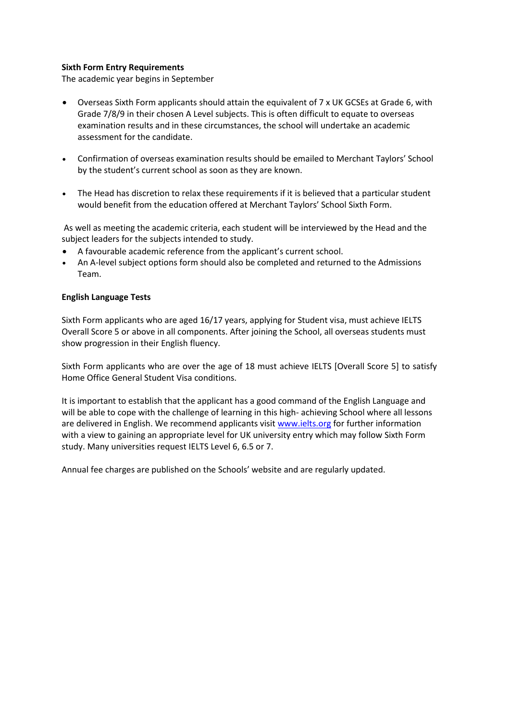# **Sixth Form Entry Requirements**

The academic year begins in September

- Overseas Sixth Form applicants should attain the equivalent of 7 x UK GCSEs at Grade 6, with Grade 7/8/9 in their chosen A Level subjects. This is often difficult to equate to overseas examination results and in these circumstances, the school will undertake an academic assessment for the candidate.
- Confirmation of overseas examination results should be emailed to Merchant Taylors' School by the student's current school as soon as they are known.
- The Head has discretion to relax these requirements if it is believed that a particular student would benefit from the education offered at Merchant Taylors' School Sixth Form.

As well as meeting the academic criteria, each student will be interviewed by the Head and the subject leaders for the subjects intended to study.

- A favourable academic reference from the applicant's current school.
- An A-level subject options form should also be completed and returned to the Admissions Team.

#### **English Language Tests**

Sixth Form applicants who are aged 16/17 years, applying for Student visa, must achieve IELTS Overall Score 5 or above in all components. After joining the School, all overseas students must show progression in their English fluency.

Sixth Form applicants who are over the age of 18 must achieve IELTS [Overall Score 5] to satisfy Home Office General Student Visa conditions.

It is important to establish that the applicant has a good command of the English Language and will be able to cope with the challenge of learning in this high- achieving School where all lessons are delivered in English. We recommend applicants visit [www.ielts.org](http://www.ielts.org/) for further information with a view to gaining an appropriate level for UK university entry which may follow Sixth Form study. Many universities request IELTS Level 6, 6.5 or 7.

Annual fee charges are published on the Schools' website and are regularly updated.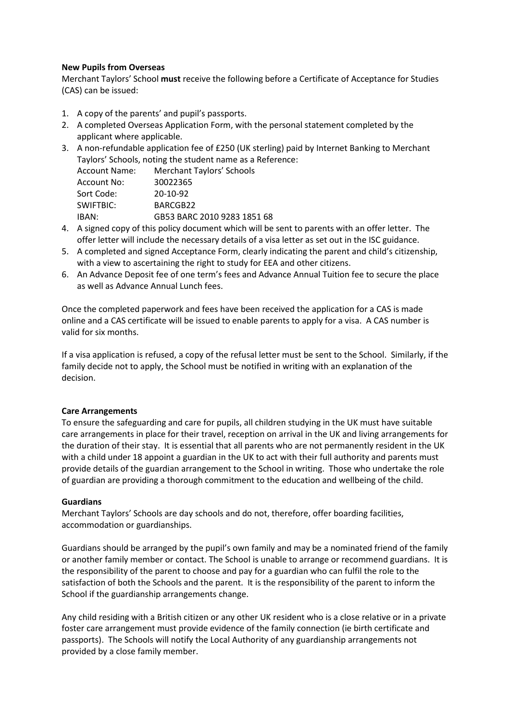## **New Pupils from Overseas**

Merchant Taylors' School **must** receive the following before a Certificate of Acceptance for Studies (CAS) can be issued:

- 1. A copy of the parents' and pupil's passports.
- 2. A completed Overseas Application Form, with the personal statement completed by the applicant where applicable.
- 3. A non-refundable application fee of £250 (UK sterling) paid by Internet Banking to Merchant Taylors' Schools, noting the student name as a Reference:

| <b>Account Name:</b> | Merchant Taylors' Schools   |
|----------------------|-----------------------------|
| Account No:          | 30022365                    |
| Sort Code:           | $20 - 10 - 92$              |
| SWIFTBIC:            | BARCGB22                    |
| IRAN:                | GB53 BARC 2010 9283 1851 68 |
|                      |                             |

- 4. A signed copy of this policy document which will be sent to parents with an offer letter. The offer letter will include the necessary details of a visa letter as set out in the ISC guidance.
- 5. A completed and signed Acceptance Form, clearly indicating the parent and child's citizenship, with a view to ascertaining the right to study for EEA and other citizens.
- 6. An Advance Deposit fee of one term's fees and Advance Annual Tuition fee to secure the place as well as Advance Annual Lunch fees.

Once the completed paperwork and fees have been received the application for a CAS is made online and a CAS certificate will be issued to enable parents to apply for a visa. A CAS number is valid for six months.

If a visa application is refused, a copy of the refusal letter must be sent to the School. Similarly, if the family decide not to apply, the School must be notified in writing with an explanation of the decision.

#### **Care Arrangements**

To ensure the safeguarding and care for pupils, all children studying in the UK must have suitable care arrangements in place for their travel, reception on arrival in the UK and living arrangements for the duration of their stay. It is essential that all parents who are not permanently resident in the UK with a child under 18 appoint a guardian in the UK to act with their full authority and parents must provide details of the guardian arrangement to the School in writing. Those who undertake the role of guardian are providing a thorough commitment to the education and wellbeing of the child.

# **Guardians**

Merchant Taylors' Schools are day schools and do not, therefore, offer boarding facilities, accommodation or guardianships.

Guardians should be arranged by the pupil's own family and may be a nominated friend of the family or another family member or contact. The School is unable to arrange or recommend guardians. It is the responsibility of the parent to choose and pay for a guardian who can fulfil the role to the satisfaction of both the Schools and the parent. It is the responsibility of the parent to inform the School if the guardianship arrangements change.

Any child residing with a British citizen or any other UK resident who is a close relative or in a private foster care arrangement must provide evidence of the family connection (ie birth certificate and passports). The Schools will notify the Local Authority of any guardianship arrangements not provided by a close family member.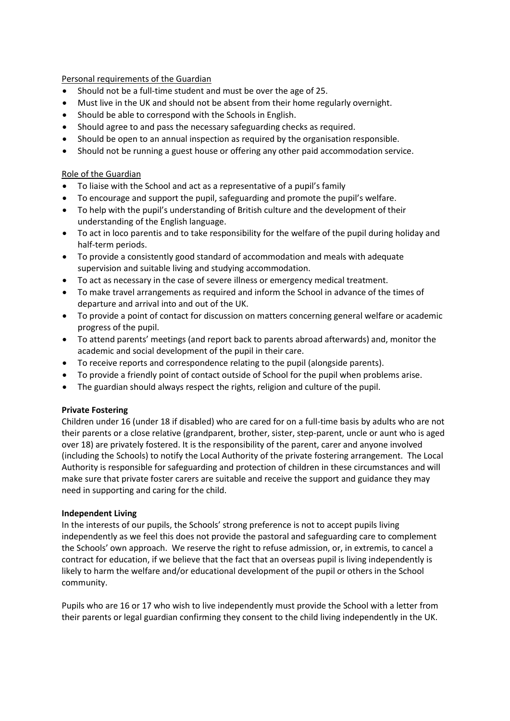Personal requirements of the Guardian

- Should not be a full-time student and must be over the age of 25.
- Must live in the UK and should not be absent from their home regularly overnight.
- Should be able to correspond with the Schools in English.
- Should agree to and pass the necessary safeguarding checks as required.
- Should be open to an annual inspection as required by the organisation responsible.
- Should not be running a guest house or offering any other paid accommodation service.

#### Role of the Guardian

- To liaise with the School and act as a representative of a pupil's family
- To encourage and support the pupil, safeguarding and promote the pupil's welfare.
- To help with the pupil's understanding of British culture and the development of their understanding of the English language.
- To act in loco parentis and to take responsibility for the welfare of the pupil during holiday and half-term periods.
- To provide a consistently good standard of accommodation and meals with adequate supervision and suitable living and studying accommodation.
- To act as necessary in the case of severe illness or emergency medical treatment.
- To make travel arrangements as required and inform the School in advance of the times of departure and arrival into and out of the UK.
- To provide a point of contact for discussion on matters concerning general welfare or academic progress of the pupil.
- To attend parents' meetings (and report back to parents abroad afterwards) and, monitor the academic and social development of the pupil in their care.
- To receive reports and correspondence relating to the pupil (alongside parents).
- To provide a friendly point of contact outside of School for the pupil when problems arise.
- The guardian should always respect the rights, religion and culture of the pupil.

#### **Private Fostering**

Children under 16 (under 18 if disabled) who are cared for on a full-time basis by adults who are not their parents or a close relative (grandparent, brother, sister, step-parent, uncle or aunt who is aged over 18) are privately fostered. It is the responsibility of the parent, carer and anyone involved (including the Schools) to notify the Local Authority of the private fostering arrangement. The Local Authority is responsible for safeguarding and protection of children in these circumstances and will make sure that private foster carers are suitable and receive the support and guidance they may need in supporting and caring for the child.

#### **Independent Living**

In the interests of our pupils, the Schools' strong preference is not to accept pupils living independently as we feel this does not provide the pastoral and safeguarding care to complement the Schools' own approach. We reserve the right to refuse admission, or, in extremis, to cancel a contract for education, if we believe that the fact that an overseas pupil is living independently is likely to harm the welfare and/or educational development of the pupil or others in the School community.

Pupils who are 16 or 17 who wish to live independently must provide the School with a letter from their parents or legal guardian confirming they consent to the child living independently in the UK.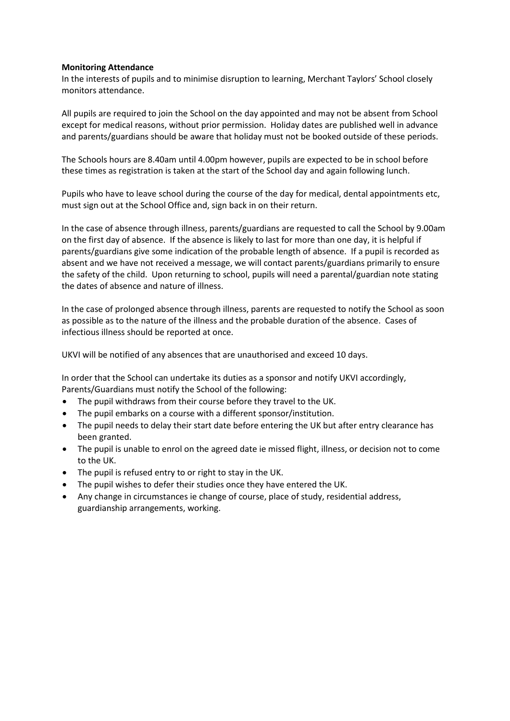#### **Monitoring Attendance**

In the interests of pupils and to minimise disruption to learning, Merchant Taylors' School closely monitors attendance.

All pupils are required to join the School on the day appointed and may not be absent from School except for medical reasons, without prior permission. Holiday dates are published well in advance and parents/guardians should be aware that holiday must not be booked outside of these periods.

The Schools hours are 8.40am until 4.00pm however, pupils are expected to be in school before these times as registration is taken at the start of the School day and again following lunch.

Pupils who have to leave school during the course of the day for medical, dental appointments etc, must sign out at the School Office and, sign back in on their return.

In the case of absence through illness, parents/guardians are requested to call the School by 9.00am on the first day of absence. If the absence is likely to last for more than one day, it is helpful if parents/guardians give some indication of the probable length of absence. If a pupil is recorded as absent and we have not received a message, we will contact parents/guardians primarily to ensure the safety of the child. Upon returning to school, pupils will need a parental/guardian note stating the dates of absence and nature of illness.

In the case of prolonged absence through illness, parents are requested to notify the School as soon as possible as to the nature of the illness and the probable duration of the absence. Cases of infectious illness should be reported at once.

UKVI will be notified of any absences that are unauthorised and exceed 10 days.

In order that the School can undertake its duties as a sponsor and notify UKVI accordingly, Parents/Guardians must notify the School of the following:

- The pupil withdraws from their course before they travel to the UK.
- The pupil embarks on a course with a different sponsor/institution.
- The pupil needs to delay their start date before entering the UK but after entry clearance has been granted.
- The pupil is unable to enrol on the agreed date ie missed flight, illness, or decision not to come to the UK.
- The pupil is refused entry to or right to stay in the UK.
- The pupil wishes to defer their studies once they have entered the UK.
- Any change in circumstances ie change of course, place of study, residential address, guardianship arrangements, working.